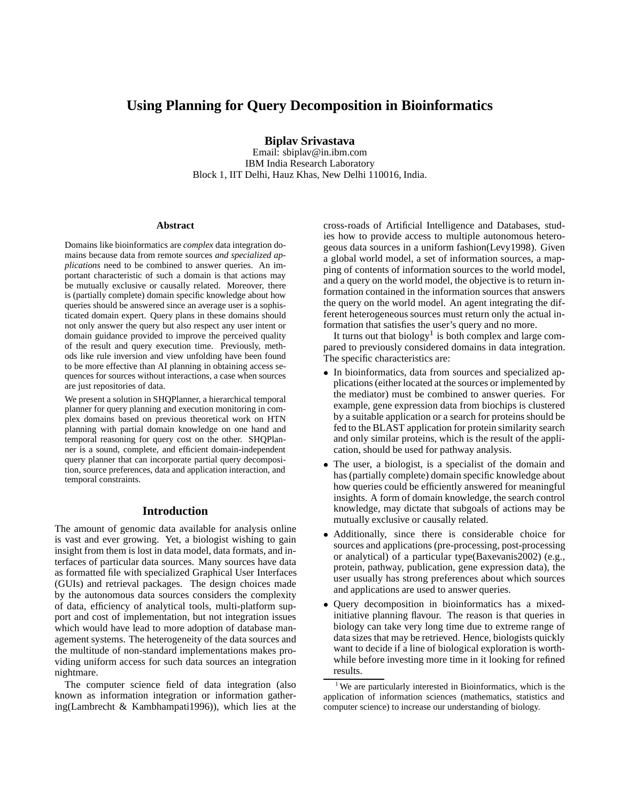# **Using Planning for Query Decomposition in Bioinformatics**

**Biplav Srivastava**

Email: sbiplav@in.ibm.com IBM India Research Laboratory Block 1, IIT Delhi, Hauz Khas, New Delhi 110016, India.

#### **Abstract**

Domains like bioinformatics are *complex* data integration domains because data from remote sources *and specialized applications* need to be combined to answer queries. An important characteristic of such a domain is that actions may be mutually exclusive or causally related. Moreover, there is (partially complete) domain specific knowledge about how queries should be answered since an average user is a sophisticated domain expert. Query plans in these domains should not only answer the query but also respect any user intent or domain guidance provided to improve the perceived quality of the result and query execution time. Previously, methods like rule inversion and view unfolding have been found to be more effective than AI planning in obtaining access sequences for sources without interactions, a case when sources are just repositories of data.

We present a solution in SHQPlanner, a hierarchical temporal planner for query planning and execution monitoring in complex domains based on previous theoretical work on HTN planning with partial domain knowledge on one hand and temporal reasoning for query cost on the other. SHQPlanner is a sound, complete, and efficient domain-independent query planner that can incorporate partial query decomposition, source preferences, data and application interaction, and temporal constraints.

## **Introduction**

The amount of genomic data available for analysis online is vast and ever growing. Yet, a biologist wishing to gain insight from them is lost in data model, data formats, and interfaces of particular data sources. Many sources have data as formatted file with specialized Graphical User Interfaces (GUIs) and retrieval packages. The design choices made by the autonomous data sources considers the complexity of data, efficiency of analytical tools, multi-platform support and cost of implementation, but not integration issues which would have lead to more adoption of database management systems. The heterogeneity of the data sources and the multitude of non-standard implementations makes providing uniform access for such data sources an integration nightmare.

The computer science field of data integration (also known as information integration or information gathering(Lambrecht & Kambhampati1996)), which lies at the cross-roads of Artificial Intelligence and Databases, studies how to provide access to multiple autonomous heterogeous data sources in a uniform fashion(Levy1998). Given a global world model, a set of information sources, a mapping of contents of information sources to the world model, and a query on the world model, the objective is to return information contained in the information sources that answers the query on the world model. An agent integrating the different heterogeneous sources must return only the actual information that satisfies the user's query and no more.

It turns out that biology<sup>1</sup> is both complex and large compared to previously considered domains in data integration. The specific characteristics are:

- In bioinformatics, data from sources and specialized applications (either located at the sources or implemented by the mediator) must be combined to answer queries. For example, gene expression data from biochips is clustered by a suitable application or a search for proteins should be fed to the BLAST application for protein similarity search and only similar proteins, which is the result of the application, should be used for pathway analysis.
- The user, a biologist, is a specialist of the domain and has (partially complete) domain specific knowledge about how queries could be efficiently answered for meaningful insights. A form of domain knowledge, the search control knowledge, may dictate that subgoals of actions may be mutually exclusive or causally related.
- Additionally, since there is considerable choice for sources and applications (pre-processing, post-processing or analytical) of a particular type(Baxevanis2002) (e.g., protein, pathway, publication, gene expression data), the user usually has strong preferences about which sources and applications are used to answer queries.
- Query decomposition in bioinformatics has a mixedinitiative planning flavour. The reason is that queries in biology can take very long time due to extreme range of data sizes that may be retrieved. Hence, biologists quickly want to decide if a line of biological exploration is worthwhile before investing more time in it looking for refined results.

<sup>1</sup> We are particularly interested in Bioinformatics, which is the application of information sciences (mathematics, statistics and computer science) to increase our understanding of biology.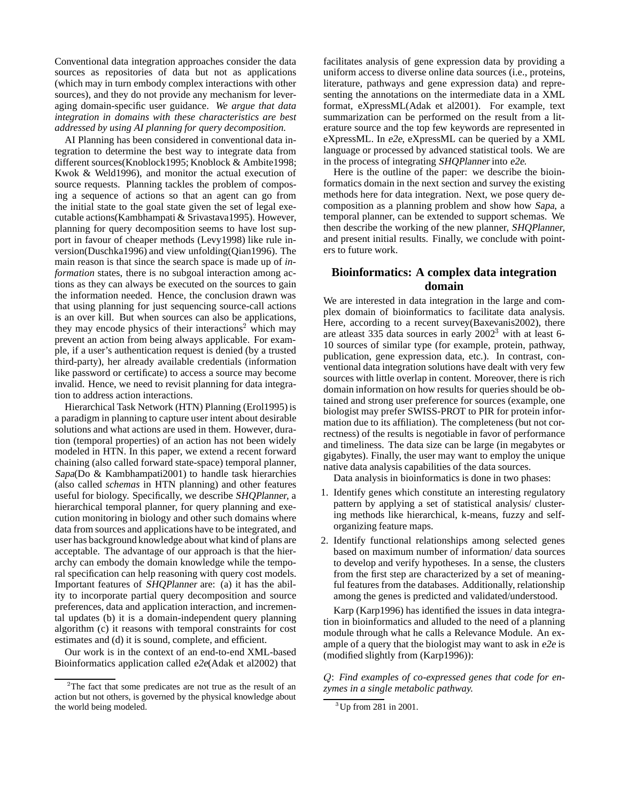Conventional data integration approaches consider the data sources as repositories of data but not as applications (which may in turn embody complex interactions with other sources), and they do not provide any mechanism for leveraging domain-specific user guidance. *We argue that data integration in domains with these characteristics are best addressed by using AI planning for query decomposition.*

AI Planning has been considered in conventional data integration to determine the best way to integrate data from different sources(Knoblock1995; Knoblock & Ambite1998; Kwok & Weld1996), and monitor the actual execution of source requests. Planning tackles the problem of composing a sequence of actions so that an agent can go from the initial state to the goal state given the set of legal executable actions(Kambhampati & Srivastava1995). However, planning for query decomposition seems to have lost support in favour of cheaper methods (Levy1998) like rule inversion(Duschka1996) and view unfolding(Qian1996). The main reason is that since the search space is made up of *information* states, there is no subgoal interaction among actions as they can always be executed on the sources to gain the information needed. Hence, the conclusion drawn was that using planning for just sequencing source-call actions is an over kill. But when sources can also be applications, they may encode physics of their interactions<sup>2</sup> which may prevent an action from being always applicable. For example, if a user's authentication request is denied (by a trusted third-party), her already available credentials (information like password or certificate) to access a source may become invalid. Hence, we need to revisit planning for data integration to address action interactions.

Hierarchical Task Network (HTN) Planning (Erol1995) is a paradigm in planning to capture user intent about desirable solutions and what actions are used in them. However, duration (temporal properties) of an action has not been widely modeled in HTN. In this paper, we extend a recent forward chaining (also called forward state-space) temporal planner, Sapa(Do & Kambhampati2001) to handle task hierarchies (also called *schemas* in HTN planning) and other features useful for biology. Specifically, we describe SHQPlanner, a hierarchical temporal planner, for query planning and execution monitoring in biology and other such domains where data from sources and applications have to be integrated, and user has background knowledge about what kind of plans are acceptable. The advantage of our approach is that the hierarchy can embody the domain knowledge while the temporal specification can help reasoning with query cost models. Important features of SHQPlanner are: (a) it has the ability to incorporate partial query decomposition and source preferences, data and application interaction, and incremental updates (b) it is a domain-independent query planning algorithm (c) it reasons with temporal constraints for cost estimates and (d) it is sound, complete, and efficient.

Our work is in the context of an end-to-end XML-based Bioinformatics application called e2e(Adak et al2002) that

facilitates analysis of gene expression data by providing a uniform access to diverse online data sources (i.e., proteins, literature, pathways and gene expression data) and representing the annotations on the intermediate data in a XML format, eXpressML(Adak et al2001). For example, text summarization can be performed on the result from a literature source and the top few keywords are represented in eXpressML. In e2e, eXpressML can be queried by a XML language or processed by advanced statistical tools. We are in the process of integrating SHQPlanner into e2e.

Here is the outline of the paper: we describe the bioinformatics domain in the next section and survey the existing methods here for data integration. Next, we pose query decomposition as a planning problem and show how Sapa, a temporal planner, can be extended to support schemas. We then describe the working of the new planner, SHQPlanner, and present initial results. Finally, we conclude with pointers to future work.

## **Bioinformatics: A complex data integration domain**

We are interested in data integration in the large and complex domain of bioinformatics to facilitate data analysis. Here, according to a recent survey(Baxevanis2002), there are atleast 335 data sources in early 2002<sup>3</sup> with at least 6- 10 sources of similar type (for example, protein, pathway, publication, gene expression data, etc.). In contrast, conventional data integration solutions have dealt with very few sources with little overlap in content. Moreover, there is rich domain information on how results for queries should be obtained and strong user preference for sources (example, one biologist may prefer SWISS-PROT to PIR for protein information due to its affiliation). The completeness (but not correctness) of the results is negotiable in favor of performance and timeliness. The data size can be large (in megabytes or gigabytes). Finally, the user may want to employ the unique native data analysis capabilities of the data sources.

Data analysis in bioinformatics is done in two phases:

- 1. Identify genes which constitute an interesting regulatory pattern by applying a set of statistical analysis/ clustering methods like hierarchical, k-means, fuzzy and selforganizing feature maps.
- 2. Identify functional relationships among selected genes based on maximum number of information/ data sources to develop and verify hypotheses. In a sense, the clusters from the first step are characterized by a set of meaningful features from the databases. Additionally, relationship among the genes is predicted and validated/understood.

Karp (Karp1996) has identified the issues in data integration in bioinformatics and alluded to the need of a planning module through what he calls a Relevance Module. An example of a query that the biologist may want to ask in e2e is (modified slightly from (Karp1996)):

Q: *Find examples of co-expressed genes that code for enzymes in a single metabolic pathway.*

<sup>&</sup>lt;sup>2</sup>The fact that some predicates are not true as the result of an action but not others, is governed by the physical knowledge about the world being modeled.

 ${}^{3}$ Up from 281 in 2001.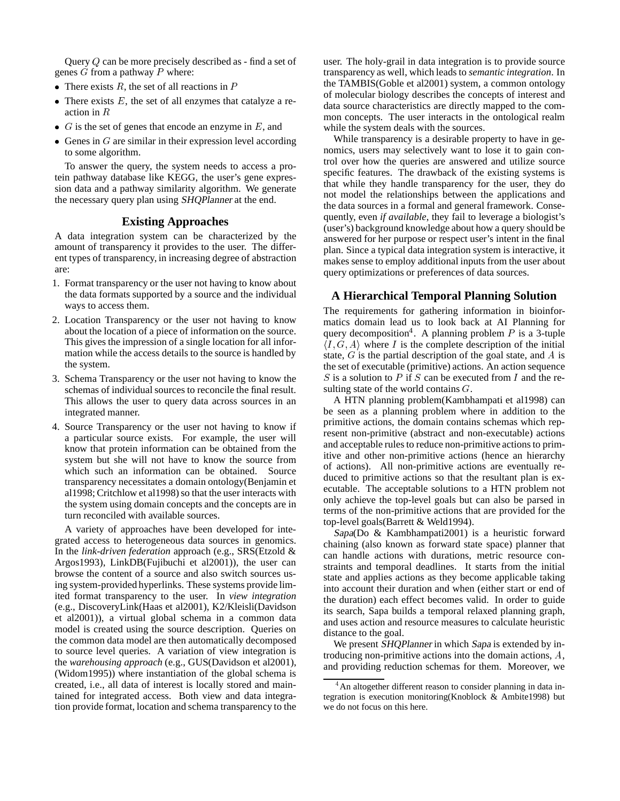Query Q can be more precisely described as - find a set of genes  $\tilde{G}$  from a pathway  $\tilde{P}$  where:

- There exists  $R$ , the set of all reactions in  $P$
- $\bullet$  There exists  $E$ , the set of all enzymes that catalyze a reaction in <sup>R</sup>
- $\bullet$  G is the set of genes that encode an enzyme in E, and
- Genes in  $G$  are similar in their expression level according to some algorithm.

To answer the query, the system needs to access a protein pathway database like KEGG, the user's gene expression data and a pathway similarity algorithm. We generate the necessary query plan using SHQPlanner at the end.

## **Existing Approaches**

A data integration system can be characterized by the amount of transparency it provides to the user. The different types of transparency, in increasing degree of abstraction are:

- 1. Format transparency or the user not having to know about the data formats supported by a source and the individual ways to access them.
- 2. Location Transparency or the user not having to know about the location of a piece of information on the source. This gives the impression of a single location for all information while the access details to the source is handled by the system.
- 3. Schema Transparency or the user not having to know the schemas of individual sources to reconcile the final result. This allows the user to query data across sources in an integrated manner.
- 4. Source Transparency or the user not having to know if a particular source exists. For example, the user will know that protein information can be obtained from the system but she will not have to know the source from which such an information can be obtained. Source transparency necessitates a domain ontology(Benjamin et al1998; Critchlow et al1998) so that the user interacts with the system using domain concepts and the concepts are in turn reconciled with available sources.

A variety of approaches have been developed for integrated access to heterogeneous data sources in genomics. In the *link-driven federation* approach (e.g., SRS(Etzold & Argos1993), LinkDB(Fujibuchi et al2001)), the user can browse the content of a source and also switch sources using system-provided hyperlinks. These systems provide limited format transparency to the user. In *view integration* (e.g., DiscoveryLink(Haas et al2001), K2/Kleisli(Davidson et al2001)), a virtual global schema in a common data model is created using the source description. Queries on the common data model are then automatically decomposed to source level queries. A variation of view integration is the *warehousing approach* (e.g., GUS(Davidson et al2001), (Widom1995)) where instantiation of the global schema is created, i.e., all data of interest is locally stored and maintained for integrated access. Both view and data integration provide format, location and schema transparency to the

user. The holy-grail in data integration is to provide source transparency as well, which leads to *semantic integration*. In the TAMBIS(Goble et al2001) system, a common ontology of molecular biology describes the concepts of interest and data source characteristics are directly mapped to the common concepts. The user interacts in the ontological realm while the system deals with the sources.

While transparency is a desirable property to have in genomics, users may selectively want to lose it to gain control over how the queries are answered and utilize source specific features. The drawback of the existing systems is that while they handle transparency for the user, they do not model the relationships between the applications and the data sources in a formal and general framework. Consequently, even *if available*, they fail to leverage a biologist's (user's) background knowledge about how a query should be answered for her purpose or respect user's intent in the final plan. Since a typical data integration system is interactive, it makes sense to employ additional inputs from the user about query optimizations or preferences of data sources.

## **A Hierarchical Temporal Planning Solution**

The requirements for gathering information in bioinformatics domain lead us to look back at AI Planning for query decomposition<sup>4</sup>. A planning problem P is a 3-tuple  $\langle I, G, A \rangle$  where I is the complete description of the initial state,  $G$  is the partial description of the goal state, and  $A$  is the set of executable (primitive) actions. An action sequence S is a solution to  $P$  if  $S$  can be executed from  $I$  and the resulting state of the world contains  $G$ .

A HTN planning problem(Kambhampati et al1998) can be seen as a planning problem where in addition to the primitive actions, the domain contains schemas which represent non-primitive (abstract and non-executable) actions and acceptable rules to reduce non-primitive actions to primitive and other non-primitive actions (hence an hierarchy of actions). All non-primitive actions are eventually reduced to primitive actions so that the resultant plan is executable. The acceptable solutions to a HTN problem not only achieve the top-level goals but can also be parsed in terms of the non-primitive actions that are provided for the top-level goals(Barrett & Weld1994).

Sapa(Do & Kambhampati2001) is a heuristic forward chaining (also known as forward state space) planner that can handle actions with durations, metric resource constraints and temporal deadlines. It starts from the initial state and applies actions as they become applicable taking into account their duration and when (either start or end of the duration) each effect becomes valid. In order to guide its search, Sapa builds a temporal relaxed planning graph, and uses action and resource measures to calculate heuristic distance to the goal.

We present SHQPlanner in which Sapa is extended by introducing non-primitive actions into the domain actions, A, and providing reduction schemas for them. Moreover, we

<sup>&</sup>lt;sup>4</sup>An altogether different reason to consider planning in data integration is execution monitoring(Knoblock & Ambite1998) but we do not focus on this here.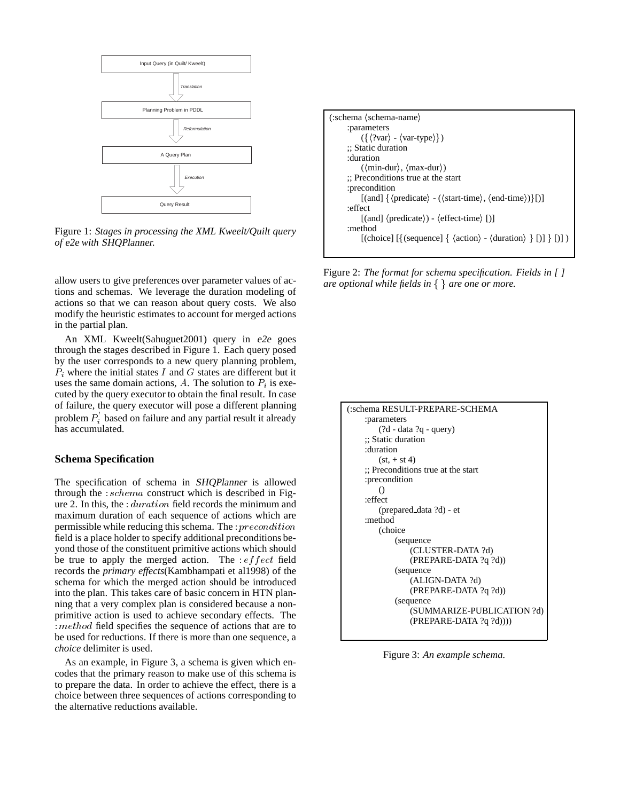

Figure 1: *Stages in processing the XML Kweelt/Quilt query of* e2e *with* SHQPlanner*.*

allow users to give preferences over parameter values of actions and schemas. We leverage the duration modeling of actions so that we can reason about query costs. We also modify the heuristic estimates to account for merged actions in the partial plan.

An XML Kweelt(Sahuguet2001) query in e2e goes through the stages described in Figure 1. Each query posed by the user corresponds to a new query planning problem,  $P_i$  where the initial states I and G states are different but it uses the same domain actions,  $A$ . The solution to  $P_i$  is executed by the query executor to obtain the final result. In case of failure, the query executor will pose a different planning problem  $P_i$  based on failure and any partial result it already has accumulated.

#### **Schema Specification**

The specification of schema in SHQPlanner is allowed through the : schema construct which is described in Figure 2. In this, the : duration field records the minimum and maximum duration of each sequence of actions which are permissible while reducing this schema. The : precondition field is a place holder to specify additional preconditions beyond those of the constituent primitive actions which should be true to apply the merged action. The  $: effect$  field records the *primary effects*(Kambhampati et al1998) of the schema for which the merged action should be introduced into the plan. This takes care of basic concern in HTN planning that a very complex plan is considered because a nonprimitive action is used to achieve secondary effects. The : method field specifies the sequence of actions that are to be used for reductions. If there is more than one sequence, a *choice* delimiter is used.

As an example, in Figure 3, a schema is given which encodes that the primary reason to make use of this schema is to prepare the data. In order to achieve the effect, there is a choice between three sequences of actions corresponding to the alternative reductions available.

| $(:\text{scheme}$ $(\text{scheme}-name)$                                                                                                  |
|-------------------------------------------------------------------------------------------------------------------------------------------|
| :parameters                                                                                                                               |
| $({\{\langle \rangle\} var \rangle - \langle var-type \rangle\})$                                                                         |
| :: Static duration                                                                                                                        |
| :duration                                                                                                                                 |
| $(\langle min\text{-}dur \rangle, \langle max\text{-}dur \rangle)$                                                                        |
| :: Preconditions true at the start                                                                                                        |
| :precondition                                                                                                                             |
| $\lceil \text{(and)} \{\langle \text{predicate} \rangle - (\langle \text{start-time} \rangle, \langle \text{end-time} \rangle) \} \rceil$ |
| :effect                                                                                                                                   |
| $\lceil$ (and) $\langle$ predicate $\rangle$ ) - $\langle$ effect-time $\rangle$ [)]                                                      |
| :method                                                                                                                                   |
| [(choice] [{(sequence] { $\langle \text{action} \rangle$ - $\langle \text{duration} \rangle$ } [)] } [)] $\rangle$                        |
|                                                                                                                                           |

Figure 2: *The format for schema specification. Fields in [ ] are optional while fields in*  $\{ \}$  *are one or more.* 

| schema RESULT-PREPARE-SCHEMA:)     |  |  |
|------------------------------------|--|--|
| :parameters                        |  |  |
| $(?d - data ?q - query)$           |  |  |
| :; Static duration                 |  |  |
| :duration                          |  |  |
| $(st, + st 4)$                     |  |  |
| :; Preconditions true at the start |  |  |
| : precondition                     |  |  |
| $\left( \right)$                   |  |  |
| :effect                            |  |  |
| (prepared_data ?d) - et            |  |  |
| :method                            |  |  |
| (choice)                           |  |  |
| (sequence)                         |  |  |
| (CLUSTER-DATA ?d)                  |  |  |
| (PREPARE-DATA ?q ?d))              |  |  |
| (sequence)                         |  |  |
| (ALIGN-DATA ?d)                    |  |  |
| (PREPARE-DATA ?q ?d))              |  |  |
| (sequence)                         |  |  |
| (SUMMARIZE-PUBLICATION ?d)         |  |  |
| $(PREPARE-DATA ?q ?d))))$          |  |  |
|                                    |  |  |

Figure 3: *An example schema.*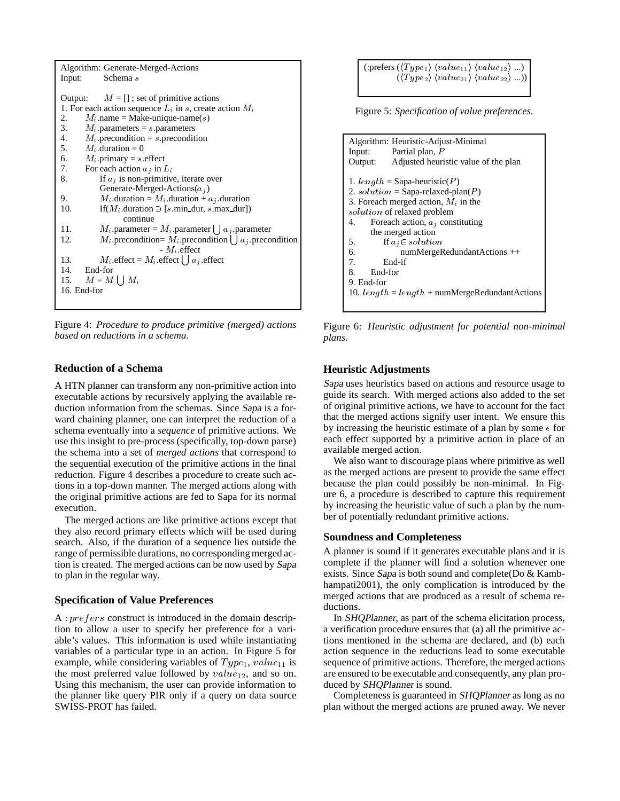| Algorithm: Generate-Merged-Actions                                       |
|--------------------------------------------------------------------------|
| Schema s<br>Input:                                                       |
|                                                                          |
| Output: $M = []$ ; set of primitive actions                              |
| 1. For each action sequence $L_i$ in s, create action $M_i$              |
| $M_i$ .name = Make-unique-name(s)<br>2.                                  |
| 3. $M_i$ . parameters = s. parameters                                    |
| 4. $M_i$ . precondition = s. precondition                                |
| 5. $M_i$ . duration = 0                                                  |
| 6. $M_i$ . primary = s. effect                                           |
| 7. For each action $a_j$ in $L_i$                                        |
| If $a_j$ is non-primitive, iterate over<br>8.                            |
| Generate-Merged-Actions $(a_i)$                                          |
| $M_i$ . duration = $M_i$ . duration + $a_i$ . duration<br>9.             |
| 10.<br>If $(M_i$ duration $\ni$ [s.min dur, s.max dur])                  |
| continue                                                                 |
| 11.<br>$M_i$ . parameter = $M_i$ . parameter $\bigcup a_i$ . parameter   |
| $M_i$ precondition= $M_i$ precondition $\bigcup a_i$ precondition<br>12. |
| $-M_i$ .effect                                                           |
| $M_i$ .effect = $M_i$ .effect $\bigcup a_j$ .effect<br>13.               |
| 14. End-for                                                              |
| 15. $M = M \cup M_i$                                                     |
| 16. End-for                                                              |
|                                                                          |

Figure 4: *Procedure to produce primitive (merged) actions based on reductions in a schema.*

## **Reduction of a Schema**

A HTN planner can transform any non-primitive action into executable actions by recursively applying the available reduction information from the schemas. Since Sapa is a forward chaining planner, one can interpret the reduction of a schema eventually into a *sequence* of primitive actions. We use this insight to pre-process (specifically, top-down parse) the schema into a set of *merged actions* that correspond to the sequential execution of the primitive actions in the final reduction. Figure 4 describes a procedure to create such actions in a top-down manner. The merged actions along with the original primitive actions are fed to Sapa for its normal execution.

The merged actions are like primitive actions except that they also record primary effects which will be used during search. Also, if the duration of a sequence lies outside the range of permissible durations, no corresponding merged action is created. The merged actions can be now used by Sapa to plan in the regular way.

#### **Specification of Value Preferences**

A : prefers construct is introduced in the domain description to allow a user to specify her preference for a variable's values. This information is used while instantiating variables of a particular type in an action. In Figure 5 for example, while considering variables of  $Type_1$ ,  $value_{11}$  is the most preferred value followed by  $value_{12}$ , and so on. Using this mechanism, the user can provide information to the planner like query PIR only if a query on data source SWISS-PROT has failed.

| (:prefers $(\langle Type_1 \rangle \langle value_{11} \rangle \langle value_{12} \rangle )$ |  |
|---------------------------------------------------------------------------------------------|--|
| $(\langle Type_2 \rangle \langle value_{21} \rangle \langle value_{22} \rangle )$           |  |

Figure 5: *Specification of value preferences.*

```
Algorithm: Heuristic-Adjust-Minimal
Input: Partial plan, P
Output: Adjusted heuristic value of the plan
1. length = \text{Sapa-heuristic}(P)2. solution = Sapa-relaxed-plan(P)
3. Foreach merged action, M_i in the
solution of relaxed problem
4. Foreach action, a_j constituting
     the merged action
5. If a_i \in solution6. numMergeRedundantActions ++<br>7. End-if
         End-if
8. End-for
9. End-for
10. length = length + numbergeRedundantActions
```
Figure 6: *Heuristic adjustment for potential non-minimal plans.*

#### **Heuristic Adjustments**

Sapa uses heuristics based on actions and resource usage to guide its search. With merged actions also added to the set of original primitive actions, we have to account for the fact that the merged actions signify user intent. We ensure this by increasing the heuristic estimate of a plan by some  $\epsilon$  for each effect supported by a primitive action in place of an available merged action.

We also want to discourage plans where primitive as well as the merged actions are present to provide the same effect because the plan could possibly be non-minimal. In Figure 6, a procedure is described to capture this requirement by increasing the heuristic value of such a plan by the number of potentially redundant primitive actions.

#### **Soundness and Completeness**

A planner is sound if it generates executable plans and it is complete if the planner will find a solution whenever one exists. Since Sapa is both sound and complete(Do & Kambhampati2001), the only complication is introduced by the merged actions that are produced as a result of schema reductions.

In SHQPlanner, as part of the schema elicitation process, a verification procedure ensures that (a) all the primitive actions mentioned in the schema are declared, and (b) each action sequence in the reductions lead to some executable sequence of primitive actions. Therefore, the merged actions are ensured to be executable and consequently, any plan produced by SHQPlanner is sound.

Completeness is guaranteed in SHQPlanner as long as no plan without the merged actions are pruned away. We never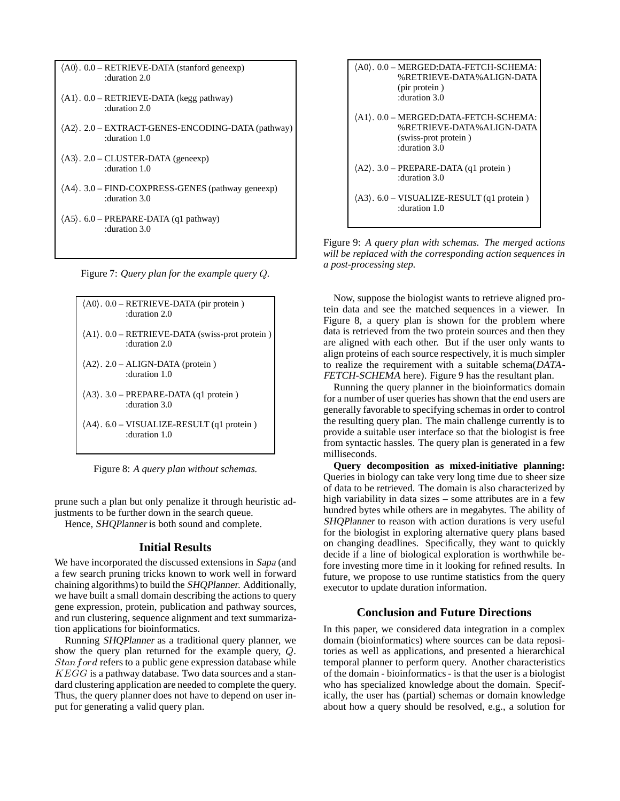| $(AO)$ . $0.0 - RETRIEVE-DATA$ (stanford geneexp)<br>:duration 2.0                  |
|-------------------------------------------------------------------------------------|
| $\langle A1 \rangle$ . 0.0 – RETRIEVE-DATA (kegg pathway)<br>duration 2.0           |
| $\langle A2 \rangle$ . 2.0 – EXTRACT-GENES-ENCODING-DATA (pathway)<br>duration 1.0: |
| $\langle A3 \rangle$ . 2.0 – CLUSTER-DATA (geneexp)<br>duration 1.0:                |
| $\langle A4 \rangle$ . 3.0 – FIND-COXPRESS-GENES (pathway geneexp)<br>duration 3.0: |
| $\langle A5 \rangle$ . 6.0 – PREPARE-DATA (q1 pathway)<br>duration 3.0:             |

Figure 7: *Query plan for the example query* Q*.*



Figure 8: *A query plan without schemas.*

prune such a plan but only penalize it through heuristic adjustments to be further down in the search queue.

Hence, SHQPlanner is both sound and complete.

#### **Initial Results**

We have incorporated the discussed extensions in Sapa (and a few search pruning tricks known to work well in forward chaining algorithms) to build the SHQPlanner. Additionally, we have built a small domain describing the actions to query gene expression, protein, publication and pathway sources, and run clustering, sequence alignment and text summarization applications for bioinformatics.

Running SHQPlanner as a traditional query planner, we show the query plan returned for the example query, <sup>Q</sup>.  $Stanford$  refers to a public gene expression database while  $KEGG$  is a pathway database. Two data sources and a standard clustering application are needed to complete the query. Thus, the query planner does not have to depend on user input for generating a valid query plan.



Figure 9: *A query plan with schemas. The merged actions will be replaced with the corresponding action sequences in a post-processing step.*

Now, suppose the biologist wants to retrieve aligned protein data and see the matched sequences in a viewer. In Figure 8, a query plan is shown for the problem where data is retrieved from the two protein sources and then they are aligned with each other. But if the user only wants to align proteins of each source respectively, it is much simpler to realize the requirement with a suitable schema(DATA-FETCH-SCHEMA here). Figure 9 has the resultant plan.

Running the query planner in the bioinformatics domain for a number of user queries has shown that the end users are generally favorable to specifying schemas in order to control the resulting query plan. The main challenge currently is to provide a suitable user interface so that the biologist is free from syntactic hassles. The query plan is generated in a few milliseconds.

**Query decomposition as mixed-initiative planning:** Queries in biology can take very long time due to sheer size of data to be retrieved. The domain is also characterized by high variability in data sizes – some attributes are in a few hundred bytes while others are in megabytes. The ability of SHQPlanner to reason with action durations is very useful for the biologist in exploring alternative query plans based on changing deadlines. Specifically, they want to quickly decide if a line of biological exploration is worthwhile before investing more time in it looking for refined results. In future, we propose to use runtime statistics from the query executor to update duration information.

## **Conclusion and Future Directions**

In this paper, we considered data integration in a complex domain (bioinformatics) where sources can be data repositories as well as applications, and presented a hierarchical temporal planner to perform query. Another characteristics of the domain - bioinformatics - is that the user is a biologist who has specialized knowledge about the domain. Specifically, the user has (partial) schemas or domain knowledge about how a query should be resolved, e.g., a solution for